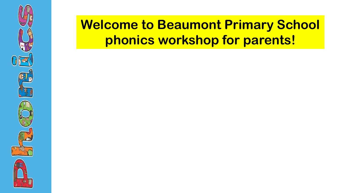

## **Welcome to Beaumont Primary School phonics workshop for parents!**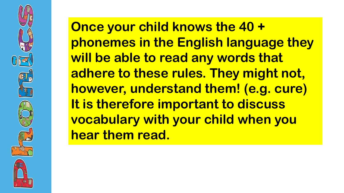

**Once your child knows the 40 + phonemes in the English language they will be able to read any words that adhere to these rules. They might not, however, understand them! (e.g. cure) It is therefore important to discuss vocabulary with your child when you hear them read.**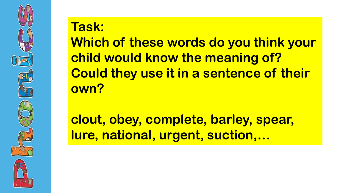

# **Task:**

**Which of these words do you think your child would know the meaning of? Could they use it in a sentence of their own?**

**clout, obey, complete, barley, spear, lure, national, urgent, suction,…**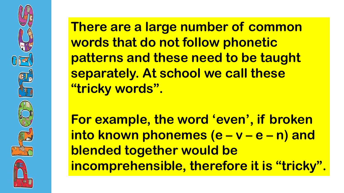

**There are a large number of common words that do not follow phonetic patterns and these need to be taught separately. At school we call these "tricky words".** 

**For example, the word 'even', if broken into known phonemes (e – v – e – n) and blended together would be incomprehensible, therefore it is "tricky".**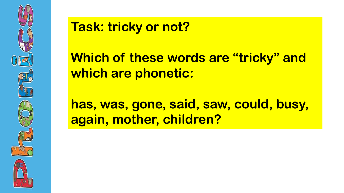

### **Task: tricky or not?**

**Which of these words are "tricky" and which are phonetic:**

**has, was, gone, said, saw, could, busy, again, mother, children?**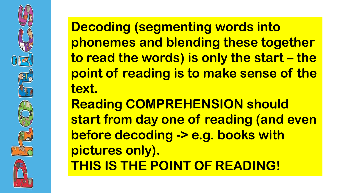

**Decoding (segmenting words into phonemes and blending these together to read the words) is only the start – the point of reading is to make sense of the text.**

**Reading COMPREHENSION should start from day one of reading (and even before decoding -> e.g. books with pictures only). THIS IS THE POINT OF READING!**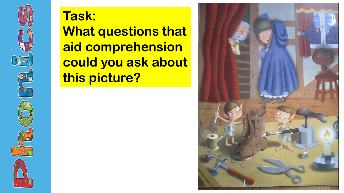

## **Task: What questions that aid comprehension could you ask about this picture?**

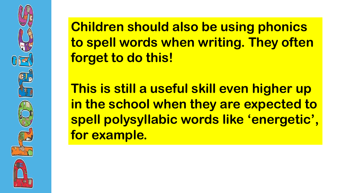**Children should also be using phonics to spell words when writing. They often forget to do this!** 

**This is still a useful skill even higher up in the school when they are expected to spell polysyllabic words like 'energetic', for example.**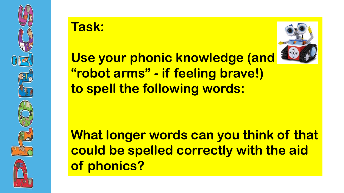

#### **Task:**



**Use your phonic knowledge (and "robot arms" - if feeling brave!) to spell the following words:** 

**What longer words can you think of that could be spelled correctly with the aid of phonics?**